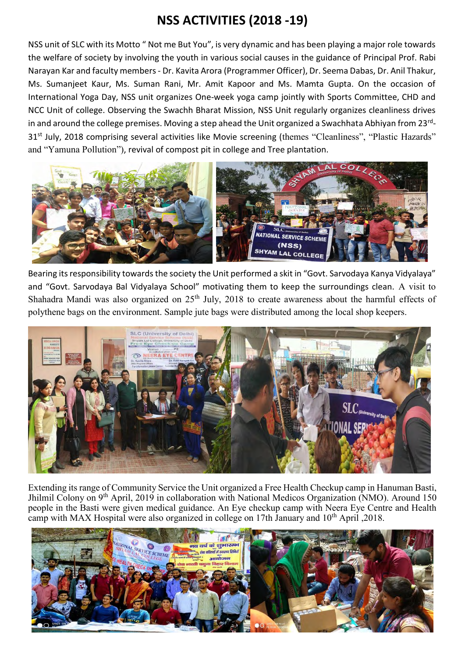## **NSS ACTIVITIES (2018 -19)**

NSS unit of SLC with its Motto " Not me But You", is very dynamic and has been playing a major role towards the welfare of society by involving the youth in various social causes in the guidance of Principal Prof. Rabi Narayan Kar and faculty members - Dr. Kavita Arora (Programmer Officer), Dr. Seema Dabas, Dr. Anil Thakur, Ms. Sumanjeet Kaur, Ms. Suman Rani, Mr. Amit Kapoor and Ms. Mamta Gupta. On the occasion of International Yoga Day, NSS unit organizes One-week yoga camp jointly with Sports Committee, CHD and NCC Unit of college. Observing the Swachh Bharat Mission, NSS Unit regularly organizes cleanliness drives in and around the college premises. Moving a step ahead the Unit organized a Swachhata Abhiyan from 23<sup>rd</sup>-31<sup>st</sup> July, 2018 comprising several activities like Movie screening (themes "Cleanliness", "Plastic Hazards" and "Yamuna Pollution"), revival of compost pit in college and Tree plantation.



Bearing its responsibility towards the society the Unit performed a skit in "Govt. Sarvodaya Kanya Vidyalaya" and "Govt. Sarvodaya Bal Vidyalaya School" motivating them to keep the surroundings clean. A visit to Shahadra Mandi was also organized on 25<sup>th</sup> July, 2018 to create awareness about the harmful effects of polythene bags on the environment. Sample jute bags were distributed among the local shop keepers.



Extending its range of Community Service the Unit organized a Free Health Checkup camp in Hanuman Basti, Jhilmil Colony on 9th April, 2019 in collaboration with National Medicos Organization (NMO). Around 150 people in the Basti were given medical guidance. An Eye checkup camp with Neera Eye Centre and Health camp with MAX Hospital were also organized in college on 17th January and 10th April ,2018.

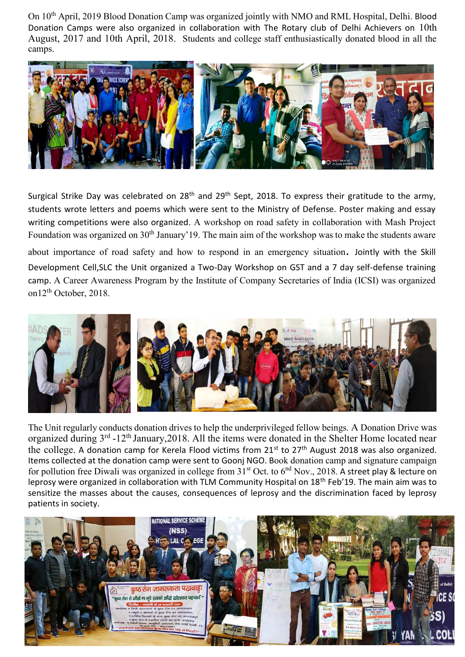On 10th April, 2019 Blood Donation Camp was organized jointly with NMO and RML Hospital, Delhi. Blood Donation Camps were also organized in collaboration with The Rotary club of Delhi Achievers on 10th August, 2017 and 10th April, 2018. Students and college staff enthusiastically donated blood in all the camps.



Surgical Strike Day was celebrated on 28<sup>th</sup> and 29<sup>th</sup> Sept, 2018. To express their gratitude to the army, students wrote letters and poems which were sent to the Ministry of Defense. Poster making and essay writing competitions were also organized. A workshop on road safety in collaboration with Mash Project Foundation was organized on  $30<sup>th</sup>$  January'19. The main aim of the workshop was to make the students aware

about importance of road safety and how to respond in an emergency situation. Jointly with the Skill Development Cell,SLC the Unit organized a Two-Day Workshop on GST and a 7 day self-defense training camp. A Career Awareness Program by the Institute of Company Secretaries of India (ICSI) was organized on12<sup>th</sup> October, 2018.



The Unit regularly conducts donation drives to help the underprivileged fellow beings. A Donation Drive was organized during 3<sup>rd</sup> -12<sup>th</sup> January, 2018. All the items were donated in the Shelter Home located near the college. A donation camp for Kerela Flood victims from 21<sup>st</sup> to 27<sup>th</sup> August 2018 was also organized. Items collected at the donation camp were sent to Goonj NGO. Book donation camp and signature campaign for pollution free Diwali was organized in college from  $31<sup>st</sup>$  Oct. to  $6<sup>nd</sup>$  Nov., 2018. A street play & lecture on leprosy were organized in collaboration with TLM Community Hospital on 18<sup>th</sup> Feb'19. The main aim was to sensitize the masses about the causes, consequences of leprosy and the discrimination faced by leprosy patients in society.